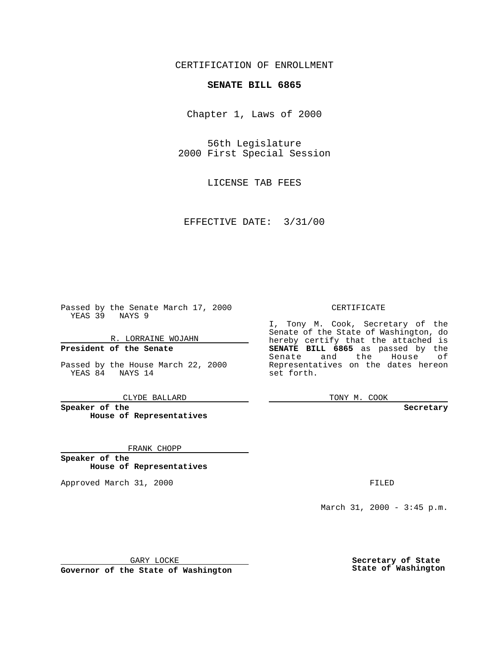CERTIFICATION OF ENROLLMENT

## **SENATE BILL 6865**

Chapter 1, Laws of 2000

56th Legislature 2000 First Special Session

LICENSE TAB FEES

EFFECTIVE DATE: 3/31/00

Passed by the Senate March 17, 2000 YEAS 39 NAYS 9

R. LORRAINE WOJAHN **President of the Senate**

Passed by the House March 22, 2000 YEAS 84 NAYS 14

CLYDE BALLARD

**Speaker of the House of Representatives**

FRANK CHOPP

**Speaker of the House of Representatives**

Approved March 31, 2000 FILED

## CERTIFICATE

I, Tony M. Cook, Secretary of the Senate of the State of Washington, do hereby certify that the attached is **SENATE BILL 6865** as passed by the Senate and the House of Representatives on the dates hereon set forth.

TONY M. COOK

**Secretary**

March 31, 2000 - 3:45 p.m.

GARY LOCKE

**Governor of the State of Washington**

**Secretary of State State of Washington**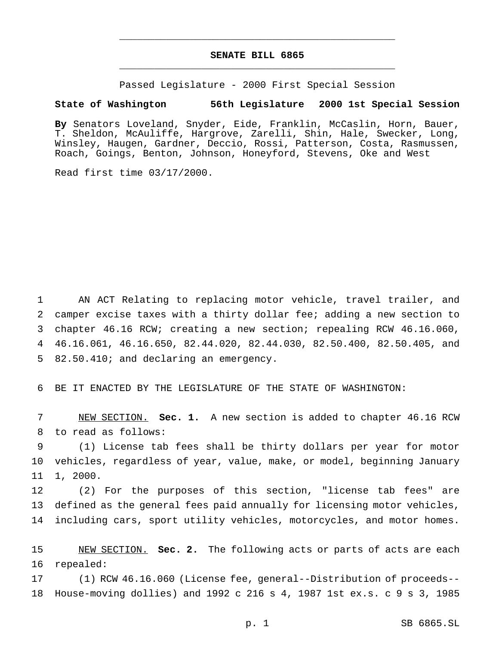## **SENATE BILL 6865** \_\_\_\_\_\_\_\_\_\_\_\_\_\_\_\_\_\_\_\_\_\_\_\_\_\_\_\_\_\_\_\_\_\_\_\_\_\_\_\_\_\_\_\_\_\_\_

\_\_\_\_\_\_\_\_\_\_\_\_\_\_\_\_\_\_\_\_\_\_\_\_\_\_\_\_\_\_\_\_\_\_\_\_\_\_\_\_\_\_\_\_\_\_\_

Passed Legislature - 2000 First Special Session

## **State of Washington 56th Legislature 2000 1st Special Session**

**By** Senators Loveland, Snyder, Eide, Franklin, McCaslin, Horn, Bauer, T. Sheldon, McAuliffe, Hargrove, Zarelli, Shin, Hale, Swecker, Long, Winsley, Haugen, Gardner, Deccio, Rossi, Patterson, Costa, Rasmussen, Roach, Goings, Benton, Johnson, Honeyford, Stevens, Oke and West

Read first time 03/17/2000.

 AN ACT Relating to replacing motor vehicle, travel trailer, and camper excise taxes with a thirty dollar fee; adding a new section to chapter 46.16 RCW; creating a new section; repealing RCW 46.16.060, 46.16.061, 46.16.650, 82.44.020, 82.44.030, 82.50.400, 82.50.405, and 82.50.410; and declaring an emergency.

BE IT ENACTED BY THE LEGISLATURE OF THE STATE OF WASHINGTON:

 NEW SECTION. **Sec. 1.** A new section is added to chapter 46.16 RCW to read as follows:

 (1) License tab fees shall be thirty dollars per year for motor vehicles, regardless of year, value, make, or model, beginning January 1, 2000.

 (2) For the purposes of this section, "license tab fees" are defined as the general fees paid annually for licensing motor vehicles, including cars, sport utility vehicles, motorcycles, and motor homes.

 NEW SECTION. **Sec. 2.** The following acts or parts of acts are each repealed:

 (1) RCW 46.16.060 (License fee, general--Distribution of proceeds-- House-moving dollies) and 1992 c 216 s 4, 1987 1st ex.s. c 9 s 3, 1985